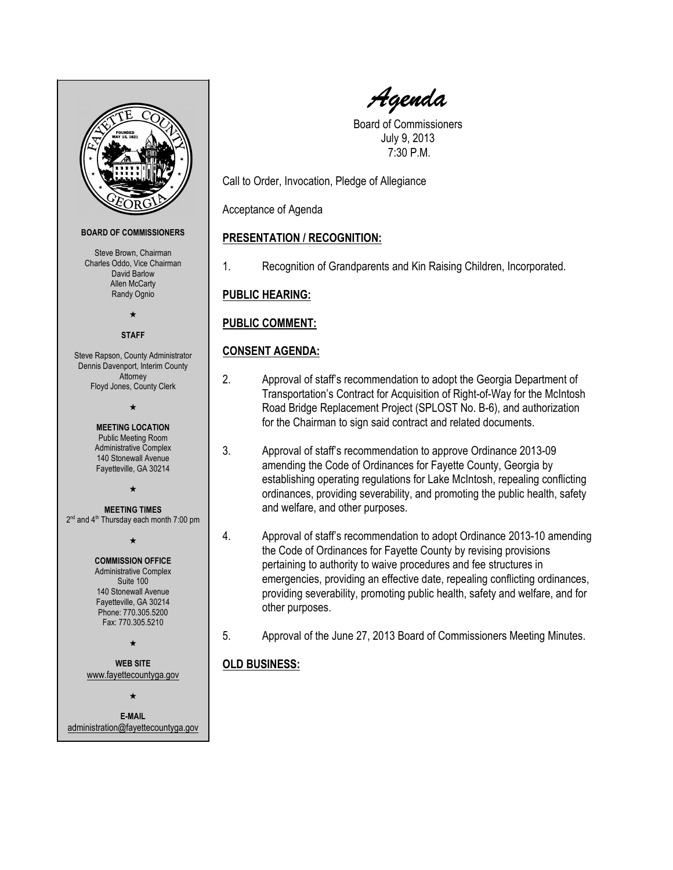

Agenda

Board of Commissioners July 9, 2013 7:30 P.M.

Call to Order, Invocation, Pledge of Allegiance

Acceptance of Agenda

# PRESENTATION / RECOGNITION:

1. Recognition of Grandparents and Kin Raising Children, Incorporated.

PUBLIC HEARING:

## PUBLIC COMMENT:

## CONSENT AGENDA:

- 2. Approval of staff's recommendation to adopt the Georgia Department of Transportation's Contract for Acquisition of Right-of-Way for the McIntosh Road Bridge Replacement Project (SPLOST No. B-6), and authorization for the Chairman to sign said contract and related documents.
- 3. Approval of staff's recommendation to approve Ordinance 2013-09 amending the Code of Ordinances for Fayette County, Georgia by establishing operating regulations for Lake McIntosh, repealing conflicting ordinances, providing severability, and promoting the public health, safety and welfare, and other purposes.
- 4. Approval of staff's recommendation to adopt Ordinance 2013-10 amending the Code of Ordinances for Fayette County by revising provisions pertaining to authority to waive procedures and fee structures in emergencies, providing an effective date, repealing conflicting ordinances, providing severability, promoting public health, safety and welfare, and for other purposes.
- 5. Approval of the June 27, 2013 Board of Commissioners Meeting Minutes.

# OLD BUSINESS: